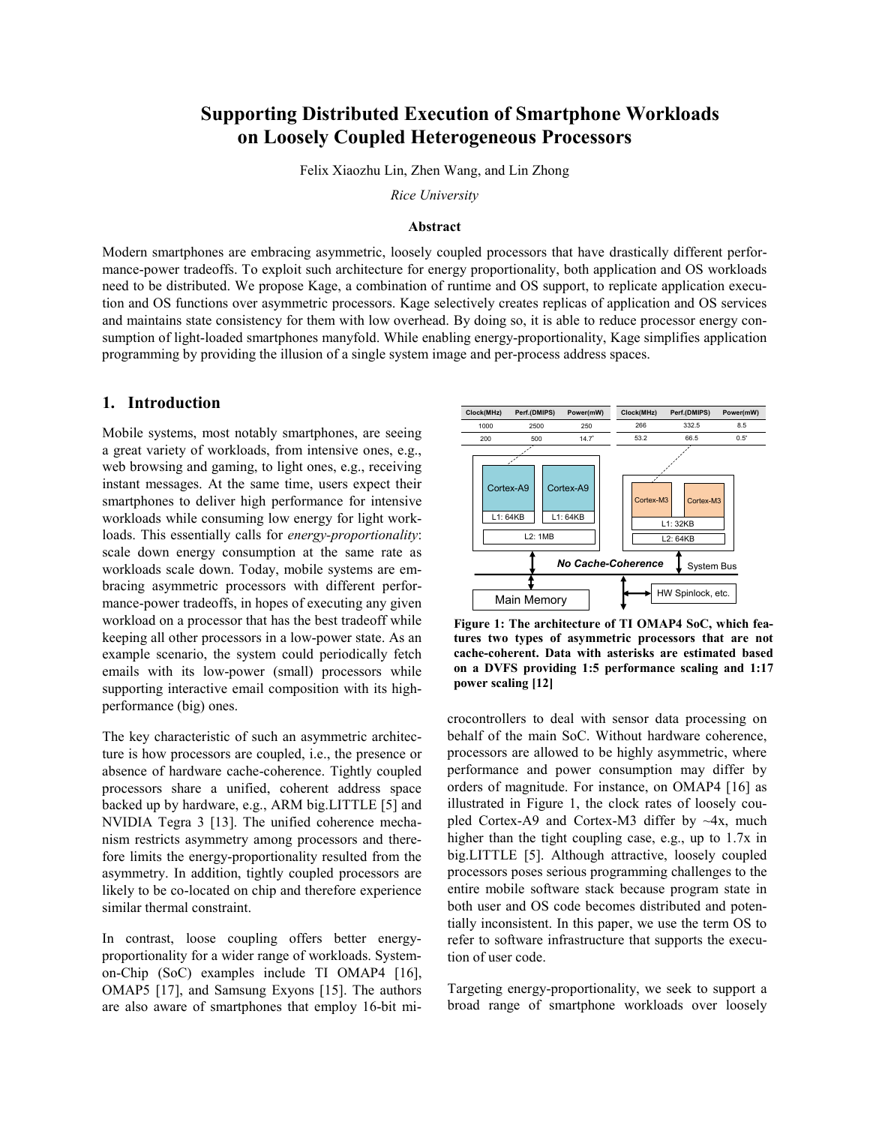# **Supporting Distributed Execution of Smartphone Workloads on Loosely Coupled Heterogeneous Processors**

Felix Xiaozhu Lin, Zhen Wang, and Lin Zhong

*Rice University*

#### **Abstract**

Modern smartphones are embracing asymmetric, loosely coupled processors that have drastically different performance-power tradeoffs. To exploit such architecture for energy proportionality, both application and OS workloads need to be distributed. We propose Kage, a combination of runtime and OS support, to replicate application execution and OS functions over asymmetric processors. Kage selectively creates replicas of application and OS services and maintains state consistency for them with low overhead. By doing so, it is able to reduce processor energy consumption of light-loaded smartphones manyfold. While enabling energy-proportionality, Kage simplifies application programming by providing the illusion of a single system image and per-process address spaces.

#### **1. Introduction**

Mobile systems, most notably smartphones, are seeing a great variety of workloads, from intensive ones, e.g., web browsing and gaming, to light ones, e.g., receiving instant messages. At the same time, users expect their smartphones to deliver high performance for intensive workloads while consuming low energy for light workloads. This essentially calls for *energy-proportionality*: scale down energy consumption at the same rate as workloads scale down. Today, mobile systems are embracing asymmetric processors with different performance-power tradeoffs, in hopes of executing any given workload on a processor that has the best tradeoff while keeping all other processors in a low-power state. As an example scenario, the system could periodically fetch emails with its low-power (small) processors while supporting interactive email composition with its highperformance (big) ones.

The key characteristic of such an asymmetric architecture is how processors are coupled, i.e., the presence or absence of hardware cache-coherence. Tightly coupled processors share a unified, coherent address space backed up by hardware, e.g., ARM big.LITTLE [\[5\]](#page-4-0) and NVIDIA Tegra 3 [\[13\]](#page-4-1). The unified coherence mechanism restricts asymmetry among processors and therefore limits the energy-proportionality resulted from the asymmetry. In addition, tightly coupled processors are likely to be co-located on chip and therefore experience similar thermal constraint.

In contrast, loose coupling offers better energyproportionality for a wider range of workloads. Systemon-Chip (SoC) examples include TI OMAP4 [\[16\]](#page-4-2), OMAP5 [\[17\]](#page-4-3), and Samsung Exyons [\[15\]](#page-4-4). The authors are also aware of smartphones that employ 16-bit mi-



<span id="page-0-0"></span>**Figure 1: The architecture of TI OMAP4 SoC, which features two types of asymmetric processors that are not cache-coherent. Data with asterisks are estimated based on a DVFS providing 1:5 performance scaling and 1:17 power scaling [\[12\]](#page-4-5)**

crocontrollers to deal with sensor data processing on behalf of the main SoC. Without hardware coherence, processors are allowed to be highly asymmetric, where performance and power consumption may differ by orders of magnitude. For instance, on OMAP4 [\[16\]](#page-4-2) as illustrated in [Figure 1,](#page-0-0) the clock rates of loosely coupled Cortex-A9 and Cortex-M3 differ by  $\sim$ 4x, much higher than the tight coupling case, e.g., up to 1.7x in big.LITTLE [\[5\]](#page-4-0). Although attractive, loosely coupled processors poses serious programming challenges to the entire mobile software stack because program state in both user and OS code becomes distributed and potentially inconsistent. In this paper, we use the term OS to refer to software infrastructure that supports the execution of user code.

Targeting energy-proportionality, we seek to support a broad range of smartphone workloads over loosely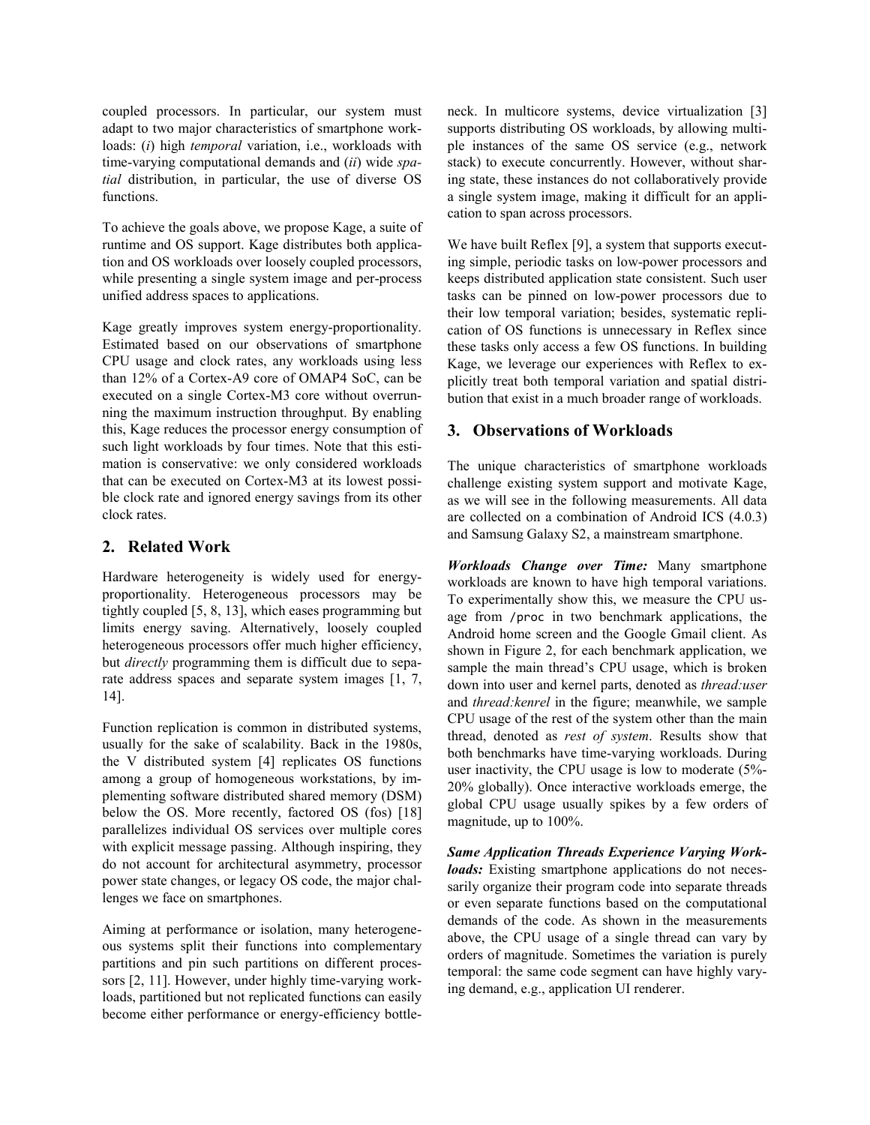coupled processors. In particular, our system must adapt to two major characteristics of smartphone workloads: (*i*) high *temporal* variation, i.e., workloads with time-varying computational demands and (*ii*) wide *spatial* distribution, in particular, the use of diverse OS functions.

To achieve the goals above, we propose Kage, a suite of runtime and OS support. Kage distributes both application and OS workloads over loosely coupled processors, while presenting a single system image and per-process unified address spaces to applications.

Kage greatly improves system energy-proportionality. Estimated based on our observations of smartphone CPU usage and clock rates, any workloads using less than 12% of a Cortex-A9 core of OMAP4 SoC, can be executed on a single Cortex-M3 core without overrunning the maximum instruction throughput. By enabling this, Kage reduces the processor energy consumption of such light workloads by four times. Note that this estimation is conservative: we only considered workloads that can be executed on Cortex-M3 at its lowest possible clock rate and ignored energy savings from its other clock rates.

### **2. Related Work**

Hardware heterogeneity is widely used for energyproportionality. Heterogeneous processors may be tightly coupled [\[5,](#page-4-0) [8,](#page-4-6) [13\]](#page-4-1), which eases programming but limits energy saving. Alternatively, loosely coupled heterogeneous processors offer much higher efficiency, but *directly* programming them is difficult due to separate address spaces and separate system images [\[1,](#page-4-7) [7,](#page-4-8)  [14\]](#page-4-9).

Function replication is common in distributed systems, usually for the sake of scalability. Back in the 1980s, the V distributed system [\[4\]](#page-4-10) replicates OS functions among a group of homogeneous workstations, by implementing software distributed shared memory (DSM) below the OS. More recently, factored OS (fos) [\[18\]](#page-4-11) parallelizes individual OS services over multiple cores with explicit message passing. Although inspiring, they do not account for architectural asymmetry, processor power state changes, or legacy OS code, the major challenges we face on smartphones.

Aiming at performance or isolation, many heterogeneous systems split their functions into complementary partitions and pin such partitions on different processors [\[2,](#page-4-12) [11\]](#page-4-13). However, under highly time-varying workloads, partitioned but not replicated functions can easily become either performance or energy-efficiency bottleneck. In multicore systems, device virtualization [\[3\]](#page-4-14) supports distributing OS workloads, by allowing multiple instances of the same OS service (e.g., network stack) to execute concurrently. However, without sharing state, these instances do not collaboratively provide a single system image, making it difficult for an application to span across processors.

We have built Reflex [\[9\]](#page-4-15), a system that supports executing simple, periodic tasks on low-power processors and keeps distributed application state consistent. Such user tasks can be pinned on low-power processors due to their low temporal variation; besides, systematic replication of OS functions is unnecessary in Reflex since these tasks only access a few OS functions. In building Kage, we leverage our experiences with Reflex to explicitly treat both temporal variation and spatial distribution that exist in a much broader range of workloads.

# <span id="page-1-0"></span>**3. Observations of Workloads**

The unique characteristics of smartphone workloads challenge existing system support and motivate Kage, as we will see in the following measurements. All data are collected on a combination of Android ICS (4.0.3) and Samsung Galaxy S2, a mainstream smartphone.

*Workloads Change over Time:* Many smartphone workloads are known to have high temporal variations. To experimentally show this, we measure the CPU usage from /proc in two benchmark applications, the Android home screen and the Google Gmail client. As shown in [Figure 2,](#page-2-0) for each benchmark application, we sample the main thread's CPU usage, which is broken down into user and kernel parts, denoted as *thread:user* and *thread:kenrel* in the figure; meanwhile, we sample CPU usage of the rest of the system other than the main thread, denoted as *rest of system*. Results show that both benchmarks have time-varying workloads. During user inactivity, the CPU usage is low to moderate (5%- 20% globally). Once interactive workloads emerge, the global CPU usage usually spikes by a few orders of magnitude, up to 100%.

*Same Application Threads Experience Varying Workloads:* Existing smartphone applications do not necessarily organize their program code into separate threads or even separate functions based on the computational demands of the code. As shown in the measurements above, the CPU usage of a single thread can vary by orders of magnitude. Sometimes the variation is purely temporal: the same code segment can have highly varying demand, e.g., application UI renderer.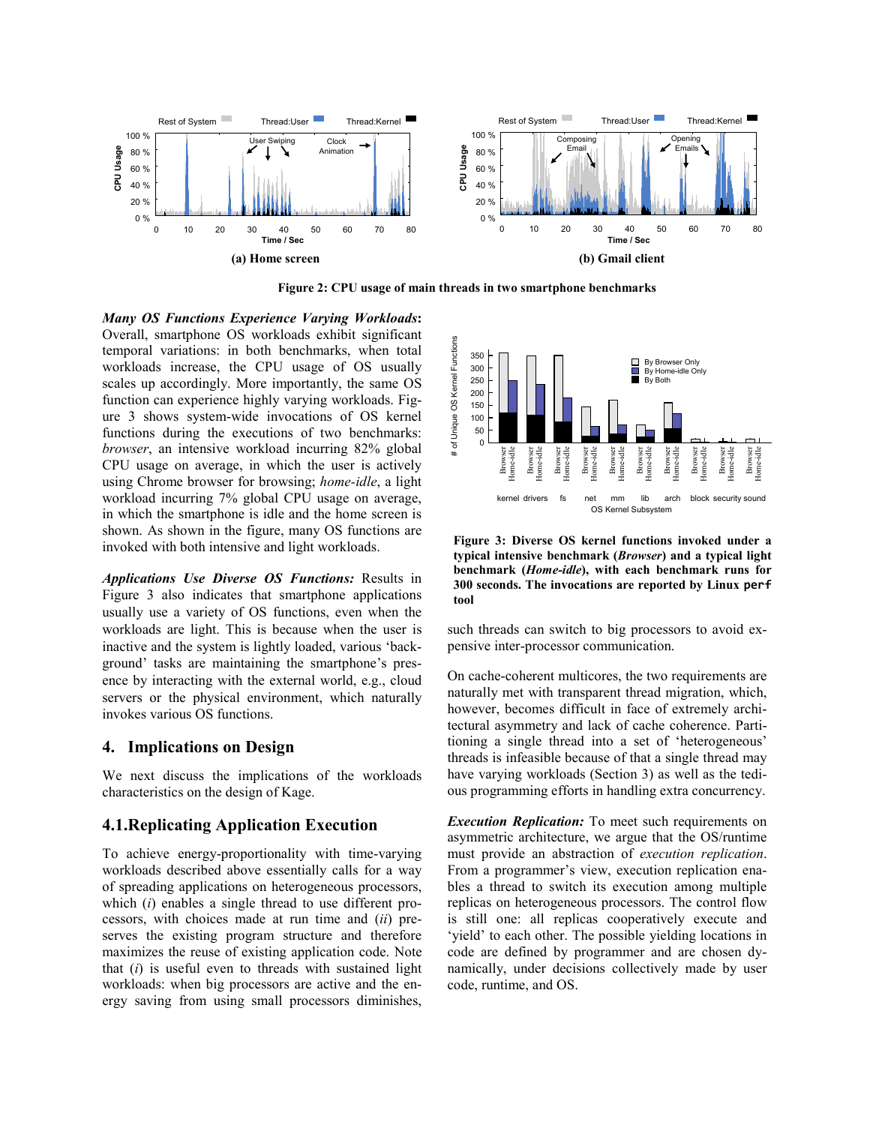

**Figure 2: CPU usage of main threads in two smartphone benchmarks**

#### <span id="page-2-0"></span>*Many OS Functions Experience Varying Workloads***:**

Overall, smartphone OS workloads exhibit significant temporal variations: in both benchmarks, when total workloads increase, the CPU usage of OS usually scales up accordingly. More importantly, the same OS function can experience highly varying workloads. [Fig](#page-2-1)[ure 3](#page-2-1) shows system-wide invocations of OS kernel functions during the executions of two benchmarks: *browser*, an intensive workload incurring 82% global CPU usage on average, in which the user is actively using Chrome browser for browsing; *home-idle*, a light workload incurring 7% global CPU usage on average, in which the smartphone is idle and the home screen is shown. As shown in the figure, many OS functions are invoked with both intensive and light workloads.

*Applications Use Diverse OS Functions:* Results in [Figure 3](#page-2-1) also indicates that smartphone applications usually use a variety of OS functions, even when the workloads are light. This is because when the user is inactive and the system is lightly loaded, various 'background' tasks are maintaining the smartphone's presence by interacting with the external world, e.g., cloud servers or the physical environment, which naturally invokes various OS functions.

#### **4. Implications on Design**

We next discuss the implications of the workloads characteristics on the design of Kage.

#### **4.1.Replicating Application Execution**

To achieve energy-proportionality with time-varying workloads described above essentially calls for a way of spreading applications on heterogeneous processors, which (*i*) enables a single thread to use different processors, with choices made at run time and (*ii*) preserves the existing program structure and therefore maximizes the reuse of existing application code. Note that (*i*) is useful even to threads with sustained light workloads: when big processors are active and the energy saving from using small processors diminishes,



<span id="page-2-1"></span>**Figure 3: Diverse OS kernel functions invoked under a typical intensive benchmark (***Browser***) and a typical light benchmark (***Home-idle***), with each benchmark runs for 300 seconds. The invocations are reported by Linux perf tool** 

such threads can switch to big processors to avoid expensive inter-processor communication.

On cache-coherent multicores, the two requirements are naturally met with transparent thread migration, which, however, becomes difficult in face of extremely architectural asymmetry and lack of cache coherence. Partitioning a single thread into a set of 'heterogeneous' threads is infeasible because of that a single thread may have varying workloads (Section [3\)](#page-1-0) as well as the tedious programming efforts in handling extra concurrency.

*Execution Replication:* To meet such requirements on asymmetric architecture, we argue that the OS/runtime must provide an abstraction of *execution replication*. From a programmer's view, execution replication enables a thread to switch its execution among multiple replicas on heterogeneous processors. The control flow is still one: all replicas cooperatively execute and 'yield' to each other. The possible yielding locations in code are defined by programmer and are chosen dynamically, under decisions collectively made by user code, runtime, and OS.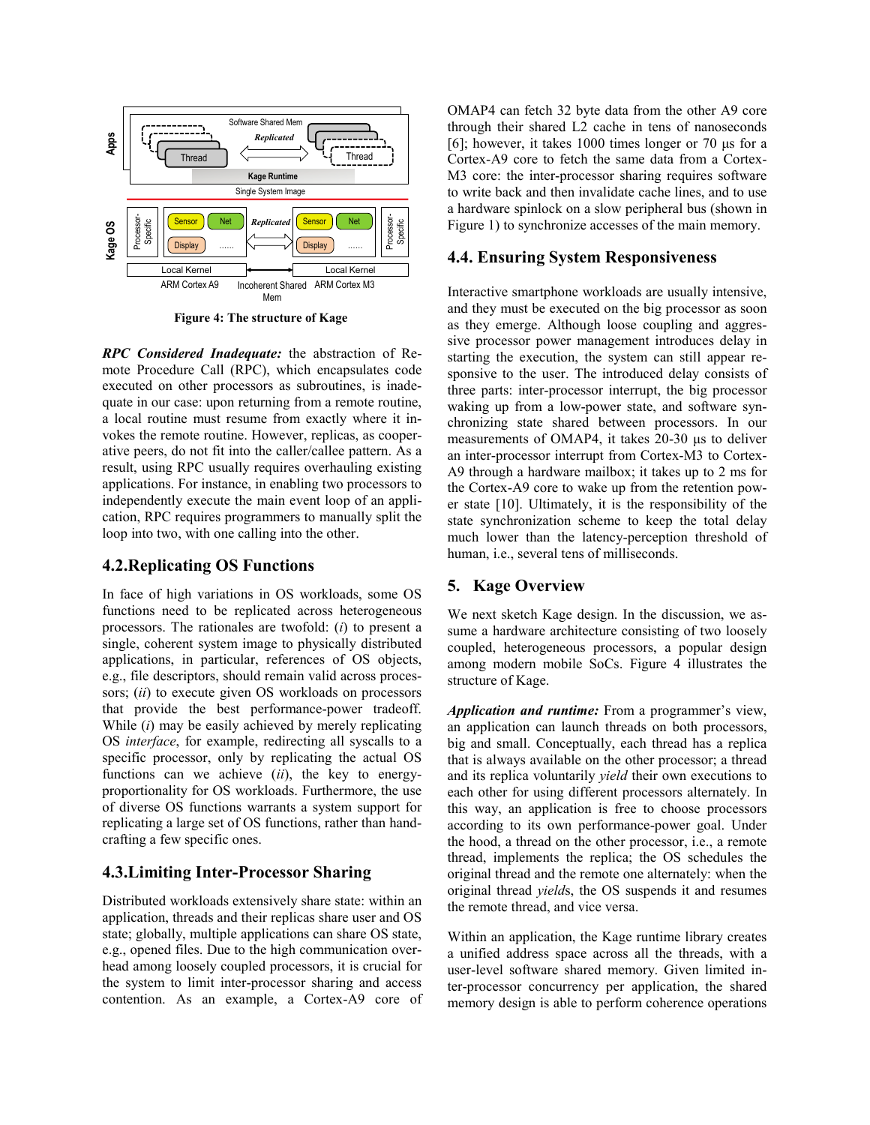

**Figure 4: The structure of Kage**

<span id="page-3-0"></span>*RPC Considered Inadequate:* the abstraction of Remote Procedure Call (RPC), which encapsulates code executed on other processors as subroutines, is inadequate in our case: upon returning from a remote routine, a local routine must resume from exactly where it invokes the remote routine. However, replicas, as cooperative peers, do not fit into the caller/callee pattern. As a result, using RPC usually requires overhauling existing applications. For instance, in enabling two processors to independently execute the main event loop of an application, RPC requires programmers to manually split the loop into two, with one calling into the other.

### **4.2.Replicating OS Functions**

In face of high variations in OS workloads, some OS functions need to be replicated across heterogeneous processors. The rationales are twofold: (*i*) to present a single, coherent system image to physically distributed applications, in particular, references of OS objects, e.g., file descriptors, should remain valid across processors; (*ii*) to execute given OS workloads on processors that provide the best performance-power tradeoff. While (*i*) may be easily achieved by merely replicating OS *interface*, for example, redirecting all syscalls to a specific processor, only by replicating the actual OS functions can we achieve (*ii*), the key to energyproportionality for OS workloads. Furthermore, the use of diverse OS functions warrants a system support for replicating a large set of OS functions, rather than handcrafting a few specific ones.

# **4.3.Limiting Inter-Processor Sharing**

Distributed workloads extensively share state: within an application, threads and their replicas share user and OS state; globally, multiple applications can share OS state, e.g., opened files. Due to the high communication overhead among loosely coupled processors, it is crucial for the system to limit inter-processor sharing and access contention. As an example, a Cortex-A9 core of OMAP4 can fetch 32 byte data from the other A9 core through their shared L2 cache in tens of nanoseconds [\[6\]](#page-4-16); however, it takes 1000 times longer or 70 μs for a Cortex-A9 core to fetch the same data from a Cortex-M3 core: the inter-processor sharing requires software to write back and then invalidate cache lines, and to use a hardware spinlock on a slow peripheral bus (shown in [Figure 1\)](#page-0-0) to synchronize accesses of the main memory.

### **4.4. Ensuring System Responsiveness**

Interactive smartphone workloads are usually intensive, and they must be executed on the big processor as soon as they emerge. Although loose coupling and aggressive processor power management introduces delay in starting the execution, the system can still appear responsive to the user. The introduced delay consists of three parts: inter-processor interrupt, the big processor waking up from a low-power state, and software synchronizing state shared between processors. In our measurements of OMAP4, it takes 20-30 μs to deliver an inter-processor interrupt from Cortex-M3 to Cortex-A9 through a hardware mailbox; it takes up to 2 ms for the Cortex-A9 core to wake up from the retention power state [\[10\]](#page-4-17). Ultimately, it is the responsibility of the state synchronization scheme to keep the total delay much lower than the latency-perception threshold of human, i.e., several tens of milliseconds.

# **5. Kage Overview**

We next sketch Kage design. In the discussion, we assume a hardware architecture consisting of two loosely coupled, heterogeneous processors, a popular design among modern mobile SoCs. [Figure 4](#page-3-0) illustrates the structure of Kage.

*Application and runtime:* From a programmer's view, an application can launch threads on both processors, big and small. Conceptually, each thread has a replica that is always available on the other processor; a thread and its replica voluntarily *yield* their own executions to each other for using different processors alternately. In this way, an application is free to choose processors according to its own performance-power goal. Under the hood, a thread on the other processor, i.e., a remote thread, implements the replica; the OS schedules the original thread and the remote one alternately: when the original thread *yield*s, the OS suspends it and resumes the remote thread, and vice versa.

Within an application, the Kage runtime library creates a unified address space across all the threads, with a user-level software shared memory. Given limited inter-processor concurrency per application, the shared memory design is able to perform coherence operations